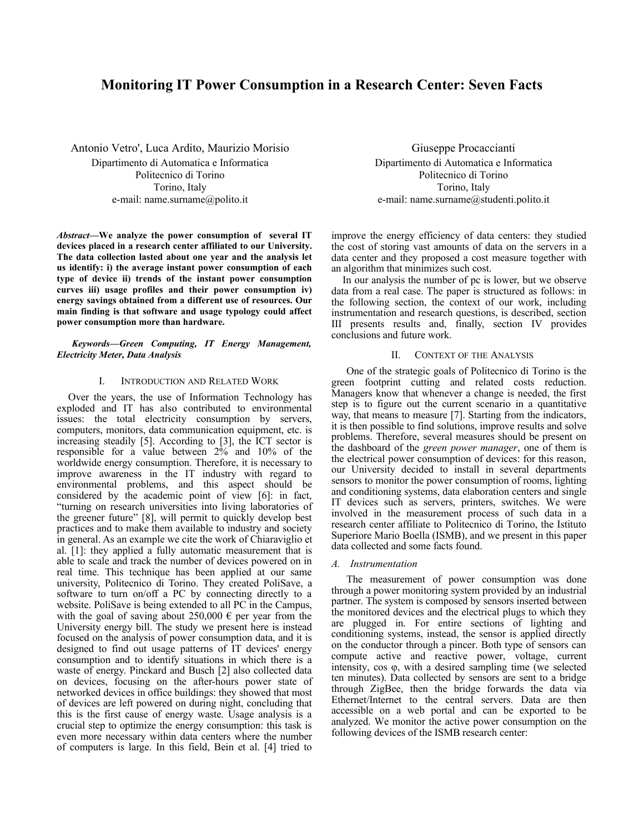# **Monitoring IT Power Consumption in a Research Center: Seven Facts**

Antonio Vetro', Luca Ardito, Maurizio Morisio Dipartimento di Automatica e Informatica Politecnico di Torino Torino, Italy e-mail: name.surname@polito.it

*Abstract***—We analyze the power consumption of several IT devices placed in a research center affiliated to our University. The data collection lasted about one year and the analysis let us identify: i) the average instant power consumption of each type of device ii) trends of the instant power consumption curves iii) usage profiles and their power consumption iv) energy savings obtained from a different use of resources. Our main finding is that software and usage typology could affect power consumption more than hardware.**

# *Keywords—Green Computing, IT Energy Management, Electricity Meter, Data Analysis*

# I. INTRODUCTION AND RELATED WORK

Over the years, the use of Information Technology has exploded and IT has also contributed to environmental issues: the total electricity consumption by servers, computers, monitors, data communication equipment, etc. is increasing steadily [5]. According to [3], the ICT sector is responsible for a value between  $2\%$  and  $10\%$  of the worldwide energy consumption. Therefore, it is necessary to improve awareness in the IT industry with regard to environmental problems, and this aspect should be considered by the academic point of view [6]: in fact, "turning on research universities into living laboratories of the greener future" [8], will permit to quickly develop best practices and to make them available to industry and society in general. As an example we cite the work of Chiaraviglio et al. [1]: they applied a fully automatic measurement that is able to scale and track the number of devices powered on in real time. This technique has been applied at our same university, Politecnico di Torino. They created PoliSave, a software to turn on/off a PC by connecting directly to a website. PoliSave is being extended to all PC in the Campus, with the goal of saving about  $250,000 \in$  per year from the University energy bill. The study we present here is instead focused on the analysis of power consumption data, and it is designed to find out usage patterns of IT devices' energy consumption and to identify situations in which there is a waste of energy. Pinckard and Busch [2] also collected data on devices, focusing on the after-hours power state of networked devices in office buildings: they showed that most of devices are left powered on during night, concluding that this is the first cause of energy waste. Usage analysis is a crucial step to optimize the energy consumption: this task is even more necessary within data centers where the number of computers is large. In this field, Bein et al. [4] tried to

Giuseppe Procaccianti Dipartimento di Automatica e Informatica Politecnico di Torino Torino, Italy e-mail: name.surname@studenti.polito.it

improve the energy efficiency of data centers: they studied the cost of storing vast amounts of data on the servers in a data center and they proposed a cost measure together with an algorithm that minimizes such cost.

In our analysis the number of pc is lower, but we observe data from a real case. The paper is structured as follows: in the following section, the context of our work, including instrumentation and research questions, is described, section III presents results and, finally, section IV provides conclusions and future work.

# II. CONTEXT OF THE ANALYSIS

One of the strategic goals of Politecnico di Torino is the green footprint cutting and related costs reduction. Managers know that whenever a change is needed, the first step is to figure out the current scenario in a quantitative way, that means to measure [7]. Starting from the indicators, it is then possible to find solutions, improve results and solve problems. Therefore, several measures should be present on the dashboard of the *green power manager*, one of them is the electrical power consumption of devices: for this reason, our University decided to install in several departments sensors to monitor the power consumption of rooms, lighting and conditioning systems, data elaboration centers and single IT devices such as servers, printers, switches. We were involved in the measurement process of such data in a research center affiliate to Politecnico di Torino, the Istituto Superiore Mario Boella (ISMB), and we present in this paper data collected and some facts found.

#### *A. Instrumentation*

The measurement of power consumption was done through a power monitoring system provided by an industrial partner. The system is composed by sensors inserted between the monitored devices and the electrical plugs to which they are plugged in. For entire sections of lighting and conditioning systems, instead, the sensor is applied directly on the conductor through a pincer. Both type of sensors can compute active and reactive power, voltage, current intensity, cos φ, with a desired sampling time (we selected ten minutes). Data collected by sensors are sent to a bridge through ZigBee, then the bridge forwards the data via Ethernet/Internet to the central servers. Data are then accessible on a web portal and can be exported to be analyzed. We monitor the active power consumption on the following devices of the ISMB research center: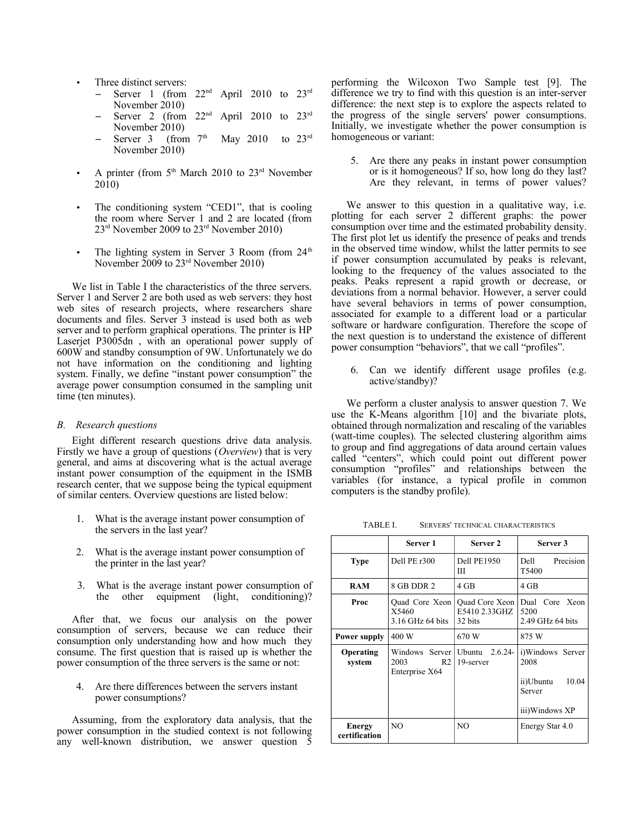- Three distinct servers:
	- Server 1 (from  $22<sup>nd</sup>$  April 2010 to  $23<sup>rd</sup>$ November 2010)
	- Server 2 (from  $22<sup>nd</sup>$  April 2010 to  $23<sup>rd</sup>$ November 2010)
	- Server 3 (from  $7<sup>th</sup>$  May 2010 to  $23<sup>rd</sup>$ November 2010)
- A printer (from  $5<sup>th</sup>$  March 2010 to  $23<sup>rd</sup>$  November 2010)
- The conditioning system "CED1", that is cooling the room where Server 1 and 2 are located (from 23rd November 2009 to 23rd November 2010)
- The lighting system in Server 3 Room (from  $24<sup>th</sup>$ ) November 2009 to 23rd November 2010)

We list in Table I the characteristics of the three servers. Server 1 and Server 2 are both used as web servers: they host web sites of research projects, where researchers share documents and files. Server 3 instead is used both as web server and to perform graphical operations. The printer is HP Laserjet P3005dn , with an operational power supply of 600W and standby consumption of 9W. Unfortunately we do not have information on the conditioning and lighting system. Finally, we define "instant power consumption" the average power consumption consumed in the sampling unit time (ten minutes).

# *B. Research questions*

Eight different research questions drive data analysis. Firstly we have a group of questions (*Overview*) that is very general, and aims at discovering what is the actual average instant power consumption of the equipment in the ISMB research center, that we suppose being the typical equipment of similar centers. Overview questions are listed below:

- 1. What is the average instant power consumption of the servers in the last year?
- 2. What is the average instant power consumption of the printer in the last year?
- 3. What is the average instant power consumption of the other equipment (light, conditioning)?

After that, we focus our analysis on the power consumption of servers, because we can reduce their consumption only understanding how and how much they consume. The first question that is raised up is whether the power consumption of the three servers is the same or not:

4. Are there differences between the servers instant power consumptions?

Assuming, from the exploratory data analysis, that the power consumption in the studied context is not following any well-known distribution, we answer question 5

performing the Wilcoxon Two Sample test [9]. The difference we try to find with this question is an inter-server difference: the next step is to explore the aspects related to the progress of the single servers' power consumptions. Initially, we investigate whether the power consumption is homogeneous or variant:

5. Are there any peaks in instant power consumption or is it homogeneous? If so, how long do they last? Are they relevant, in terms of power values?

We answer to this question in a qualitative way, *i.e.* plotting for each server 2 different graphs: the power consumption over time and the estimated probability density. The first plot let us identify the presence of peaks and trends in the observed time window, whilst the latter permits to see if power consumption accumulated by peaks is relevant, looking to the frequency of the values associated to the peaks. Peaks represent a rapid growth or decrease, or deviations from a normal behavior. However, a server could have several behaviors in terms of power consumption, associated for example to a different load or a particular software or hardware configuration. Therefore the scope of the next question is to understand the existence of different power consumption "behaviors", that we call "profiles".

6. Can we identify different usage profiles (e.g. active/standby)?

We perform a cluster analysis to answer question 7. We use the K-Means algorithm [10] and the bivariate plots, obtained through normalization and rescaling of the variables (watt-time couples). The selected clustering algorithm aims to group and find aggregations of data around certain values called "centers", which could point out different power consumption "profiles" and relationships between the variables (for instance, a typical profile in common computers is the standby profile).

TABLE I. SERVERS' TECHNICAL CHARACTERISTICS

|                                | Server 1                                                   | Server 2                                          | Server 3                                                                   |  |  |
|--------------------------------|------------------------------------------------------------|---------------------------------------------------|----------------------------------------------------------------------------|--|--|
| <b>Type</b>                    | Dell PE $r300$                                             | <b>Dell PE1950</b><br>Ш                           | Dell<br>Precision<br>T5400                                                 |  |  |
| <b>RAM</b>                     | 8 GB DDR 2                                                 | 4 GB                                              | 4 GB                                                                       |  |  |
| Proc                           | Quad Core Xeon<br>X5460<br>3.16 GHz 64 bits                | <b>Ouad Core Xeon</b><br>E5410 2.33GHZ<br>32 bits | Dual Core Xeon<br>5200<br>2.49 GHz 64 bits                                 |  |  |
| <b>Power supply</b>            | 400 W                                                      | 670 W                                             | 875 W                                                                      |  |  |
| <b>Operating</b><br>system     | Windows Server<br>2003<br>R <sub>2</sub><br>Enterprise X64 | Ubuntu<br>$2.6.24-$<br>19-server                  | i)Windows Server<br>2008<br>10.04<br>ii)Ubuntu<br>Server<br>iii)Windows XP |  |  |
| <b>Energy</b><br>certification | N <sub>O</sub>                                             | NO                                                | Energy Star 4.0                                                            |  |  |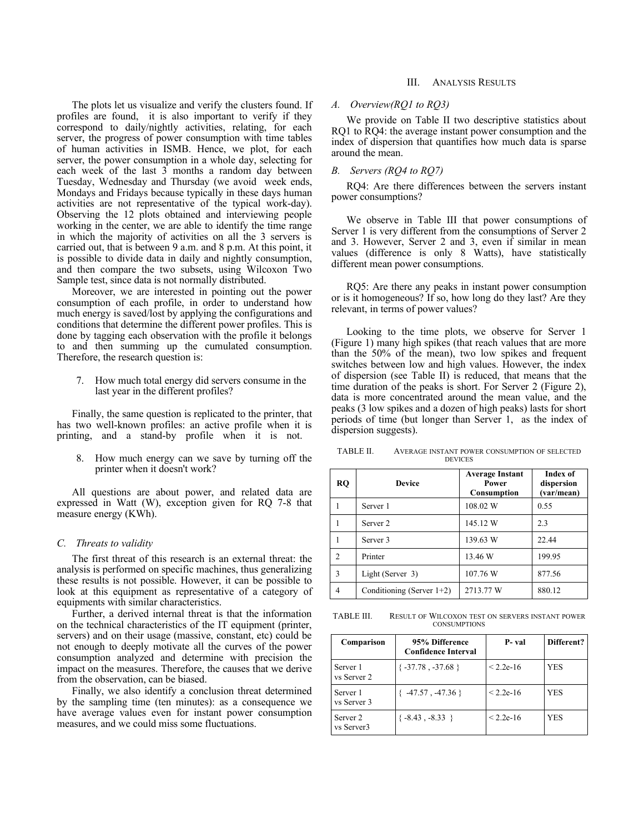The plots let us visualize and verify the clusters found. If profiles are found, it is also important to verify if they correspond to daily/nightly activities, relating, for each server, the progress of power consumption with time tables of human activities in ISMB. Hence, we plot, for each server, the power consumption in a whole day, selecting for each week of the last 3 months a random day between Tuesday, Wednesday and Thursday (we avoid week ends, Mondays and Fridays because typically in these days human activities are not representative of the typical work-day). Observing the 12 plots obtained and interviewing people working in the center, we are able to identify the time range in which the majority of activities on all the 3 servers is carried out, that is between 9 a.m. and 8 p.m. At this point, it is possible to divide data in daily and nightly consumption, and then compare the two subsets, using Wilcoxon Two Sample test, since data is not normally distributed.

Moreover, we are interested in pointing out the power consumption of each profile, in order to understand how much energy is saved/lost by applying the configurations and conditions that determine the different power profiles. This is done by tagging each observation with the profile it belongs to and then summing up the cumulated consumption. Therefore, the research question is:

7. How much total energy did servers consume in the last year in the different profiles?

Finally, the same question is replicated to the printer, that has two well-known profiles: an active profile when it is printing, and a stand-by profile when it is not.

8. How much energy can we save by turning off the printer when it doesn't work?

All questions are about power, and related data are expressed in Watt (W), exception given for RQ 7-8 that measure energy (KWh).

#### *C. Threats to validity*

The first threat of this research is an external threat: the analysis is performed on specific machines, thus generalizing these results is not possible. However, it can be possible to look at this equipment as representative of a category of equipments with similar characteristics.

Further, a derived internal threat is that the information on the technical characteristics of the IT equipment (printer, servers) and on their usage (massive, constant, etc) could be not enough to deeply motivate all the curves of the power consumption analyzed and determine with precision the impact on the measures. Therefore, the causes that we derive from the observation, can be biased.

Finally, we also identify a conclusion threat determined by the sampling time (ten minutes): as a consequence we have average values even for instant power consumption measures, and we could miss some fluctuations.

#### III. ANALYSIS RESULTS

## *A. Overview(RQ1 to RQ3)*

We provide on Table II two descriptive statistics about RQ1 to RQ4: the average instant power consumption and the index of dispersion that quantifies how much data is sparse around the mean.

#### *B. Servers (RQ4 to RQ7)*

RQ4: Are there differences between the servers instant power consumptions?

We observe in Table III that power consumptions of Server 1 is very different from the consumptions of Server 2 and 3. However, Server 2 and 3, even if similar in mean values (difference is only 8 Watts), have statistically different mean power consumptions.

RQ5: Are there any peaks in instant power consumption or is it homogeneous? If so, how long do they last? Are they relevant, in terms of power values?

Looking to the time plots, we observe for Server 1 (Figure 1) many high spikes (that reach values that are more than the 50% of the mean), two low spikes and frequent switches between low and high values. However, the index of dispersion (see Table II) is reduced, that means that the time duration of the peaks is short. For Server 2 (Figure 2), data is more concentrated around the mean value, and the peaks (3 low spikes and a dozen of high peaks) lasts for short periods of time (but longer than Server 1, as the index of dispersion suggests).

TABLE II. AVERAGE INSTANT POWER CONSUMPTION OF SELECTED DEVICES

| <b>RQ</b>      | <b>Device</b>             | <b>Average Instant</b><br>Power<br>Consumption | Index of<br>dispersion<br>(var/mean) |
|----------------|---------------------------|------------------------------------------------|--------------------------------------|
|                | Server 1                  | 108.02 W                                       | 0.55                                 |
|                | Server <sub>2</sub>       | 145.12 W                                       | 2.3                                  |
|                | Server <sub>3</sub>       | 139.63 W                                       | 22.44                                |
| $\mathfrak{D}$ | Printer                   | 13.46 W                                        | 199.95                               |
| 3              | Light (Server 3)          | 107.76 W                                       | 877.56                               |
| 4              | Conditioning (Server 1+2) | 2713.77 W                                      | 880.12                               |

TABLE III. RESULT OF WILCOXON TEST ON SERVERS INSTANT POWER **CONSUMPTIONS** 

| Comparison              | 95% Difference<br><b>Confidence Interval</b> | P- val      | Different? |  |
|-------------------------|----------------------------------------------|-------------|------------|--|
| Server 1<br>vs Server 2 | $\{-37.78, -37.68\}$                         | $< 2.2e-16$ | YES        |  |
| Server 1<br>vs Server 3 | $-47.57$ , $-47.36$ }                        | $< 2.2e-16$ | YES        |  |
| Server 2<br>vs Server3  | $\{-8.43, -8.33\}$                           | $< 2.2e-16$ | YES        |  |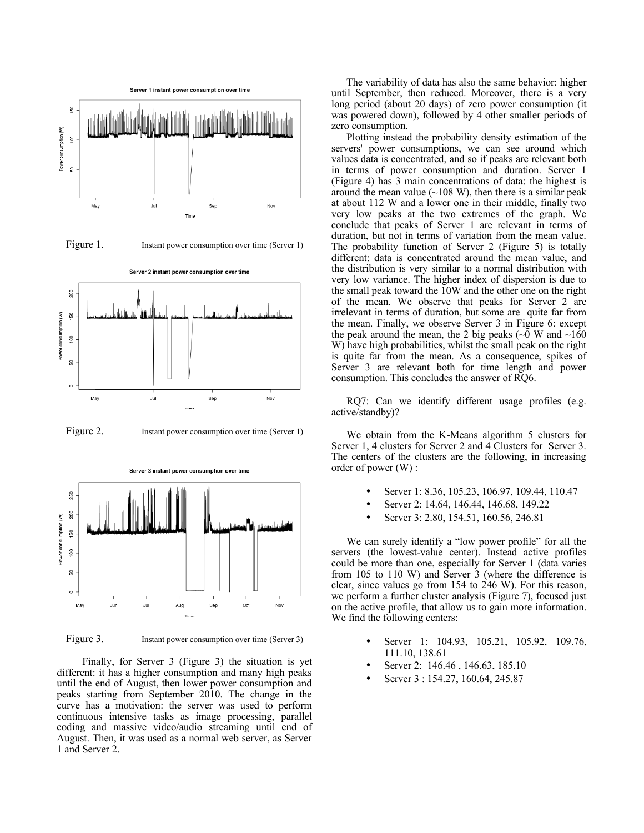

Figure 1. Instant power consumption over time (Server 1)



Figure 2. Instant power consumption over time (Server 1)



Server 3 instant power consumption over time

Figure 3. Instant power consumption over time (Server 3)

 Finally, for Server 3 (Figure 3) the situation is yet different: it has a higher consumption and many high peaks until the end of August, then lower power consumption and peaks starting from September 2010. The change in the curve has a motivation: the server was used to perform continuous intensive tasks as image processing, parallel coding and massive video/audio streaming until end of August. Then, it was used as a normal web server, as Server 1 and Server 2.

The variability of data has also the same behavior: higher until September, then reduced. Moreover, there is a very long period (about 20 days) of zero power consumption (it was powered down), followed by 4 other smaller periods of zero consumption.

Plotting instead the probability density estimation of the servers' power consumptions, we can see around which values data is concentrated, and so if peaks are relevant both in terms of power consumption and duration. Server 1 (Figure 4) has 3 main concentrations of data: the highest is around the mean value  $(\sim 108 \text{ W})$ , then there is a similar peak at about 112 W and a lower one in their middle, finally two very low peaks at the two extremes of the graph. We conclude that peaks of Server 1 are relevant in terms of duration, but not in terms of variation from the mean value. The probability function of Server 2 (Figure 5) is totally different: data is concentrated around the mean value, and the distribution is very similar to a normal distribution with very low variance. The higher index of dispersion is due to the small peak toward the 10W and the other one on the right of the mean. We observe that peaks for Server 2 are irrelevant in terms of duration, but some are quite far from the mean. Finally, we observe Server 3 in Figure 6: except the peak around the mean, the 2 big peaks ( $\sim$ 0 W and  $\sim$ 160 W) have high probabilities, whilst the small peak on the right is quite far from the mean. As a consequence, spikes of Server 3 are relevant both for time length and power consumption. This concludes the answer of RQ6.

RQ7: Can we identify different usage profiles (e.g. active/standby)?

We obtain from the K-Means algorithm 5 clusters for Server 1, 4 clusters for Server 2 and 4 Clusters for Server 3. The centers of the clusters are the following, in increasing order of power (W) :

- Server 1: 8.36, 105.23, 106.97, 109.44, 110.47
- Server 2: 14.64, 146.44, 146.68, 149.22
- Server 3: 2.80, 154.51, 160.56, 246.81

We can surely identify a "low power profile" for all the servers (the lowest-value center). Instead active profiles could be more than one, especially for Server 1 (data varies from 105 to 110 W) and Server 3 (where the difference is clear, since values go from 154 to 246 W). For this reason, we perform a further cluster analysis (Figure 7), focused just on the active profile, that allow us to gain more information. We find the following centers:

- Server 1: 104.93, 105.21, 105.92, 109.76, 111.10, 138.61
- Server 2: 146.46 , 146.63, 185.10
- Server 3 : 154.27, 160.64, 245.87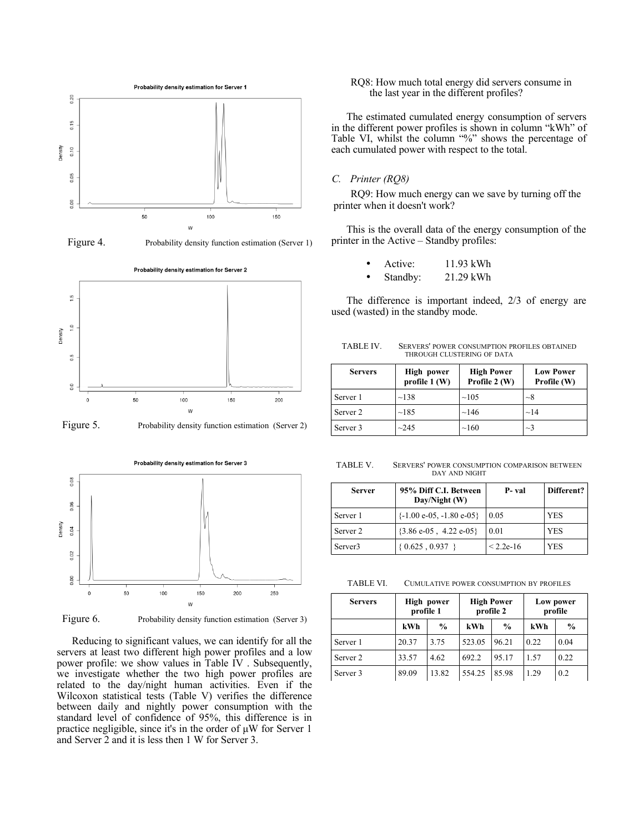

Figure 4. Probability density function estimation (Server 1)







Figure 6. Probability density function estimation (Server 3)

Reducing to significant values, we can identify for all the servers at least two different high power profiles and a low power profile: we show values in Table IV . Subsequently, we investigate whether the two high power profiles are related to the day/night human activities. Even if the Wilcoxon statistical tests (Table V) verifies the difference between daily and nightly power consumption with the standard level of confidence of 95%, this difference is in practice negligible, since it's in the order of μW for Server 1 and Server 2 and it is less then 1 W for Server 3.

## RQ8: How much total energy did servers consume in the last year in the different profiles?

The estimated cumulated energy consumption of servers in the different power profiles is shown in column "kWh" of Table VI, whilst the column "%" shows the percentage of each cumulated power with respect to the total.

## *C. Printer (RQ8)*

RQ9: How much energy can we save by turning off the printer when it doesn't work?

This is the overall data of the energy consumption of the printer in the Active – Standby profiles:

| Active: | 11.93 kWh |
|---------|-----------|
|         |           |

Standby: 21.29 kWh

The difference is important indeed, 2/3 of energy are used (wasted) in the standby mode.

| <b>Servers</b> | High power<br>profile $1(W)$ | <b>High Power</b><br>Profile 2 (W) | <b>Low Power</b><br>Profile (W) |  |
|----------------|------------------------------|------------------------------------|---------------------------------|--|
| Server 1       | ~138                         | $\sim$ 105                         | $\sim$ 8                        |  |
| Server 2       | ~185                         | ~146                               | $\sim$ 14                       |  |
| Server 3       | ~245                         | $\sim$ 160                         | $\sim$ 3                        |  |

TABLE IV. SERVERS' POWER CONSUMPTION PROFILES OBTAINED THROUGH CLUSTERING OF DATA

TABLE V. SERVERS' POWER CONSUMPTION COMPARISON BETWEEN DAY AND NIGHT

| <b>Server</b>       | 95% Diff C.I. Between<br>Day/Night (W)       | P- val      | Different? |
|---------------------|----------------------------------------------|-------------|------------|
| Server 1            | $\{-1.00 \text{ e}-05, -1.80 \text{ e}-05\}$ | 0.05        | <b>YES</b> |
| Server 2            | ${3.86 e-05}$ , 4.22 e-05}                   | 0.01        | <b>YES</b> |
| Server <sub>3</sub> | $\{0.625, 0.937\}$                           | $< 2.2e-16$ | <b>YES</b> |

TABLE VI. CUMULATIVE POWER CONSUMPTION BY PROFILES

| <b>Servers</b> | High power<br>profile 1 |               | <b>High Power</b><br>profile 2 |               | Low power<br>profile |               |
|----------------|-------------------------|---------------|--------------------------------|---------------|----------------------|---------------|
|                | kWh                     | $\frac{6}{9}$ | kWh                            | $\frac{0}{0}$ | kWh                  | $\frac{0}{0}$ |
| Server 1       | 20.37                   | 3.75          | 523.05                         | 96.21         | 0.22                 | 0.04          |
| Server 2       | 33.57                   | 4.62          | 692.2                          | 95.17         | 1.57                 | 0.22          |
| Server 3       | 89.09                   | 13.82         | 554.25                         | 85.98         | 1.29                 | 0.2           |